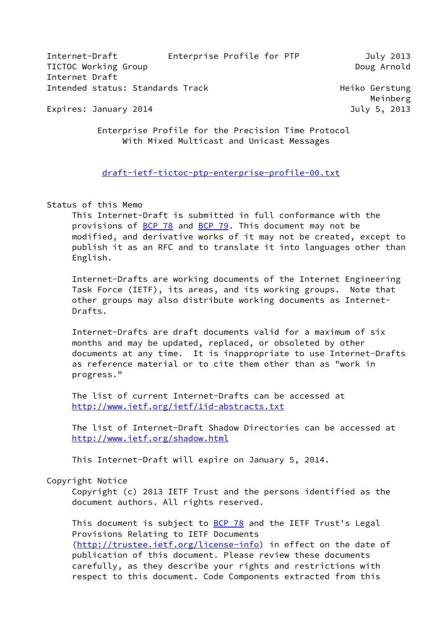| Internet-Draft                   | Enterprise Profile for PTP | July 2013   |
|----------------------------------|----------------------------|-------------|
| TICTOC Working Group             |                            | Doug Arnold |
| Internet Draft                   |                            |             |
| Intended status: Standards Track | Heiko Gerstung             |             |
|                                  |                            | Meinberg    |

Expires: January 2014 **Galacter Contract Contract Contract Contract Contract Contract Contract Contract Contract** 

 Enterprise Profile for the Precision Time Protocol With Mixed Multicast and Unicast Messages

#### [draft-ietf-tictoc-ptp-enterprise-profile-00.txt](https://datatracker.ietf.org/doc/pdf/draft-ietf-tictoc-ptp-enterprise-profile-00.txt)

## Status of this Memo

 This Internet-Draft is submitted in full conformance with the provisions of [BCP 78](https://datatracker.ietf.org/doc/pdf/bcp78) and [BCP 79](https://datatracker.ietf.org/doc/pdf/bcp79). This document may not be modified, and derivative works of it may not be created, except to publish it as an RFC and to translate it into languages other than English.

 Internet-Drafts are working documents of the Internet Engineering Task Force (IETF), its areas, and its working groups. Note that other groups may also distribute working documents as Internet- Drafts.

 Internet-Drafts are draft documents valid for a maximum of six months and may be updated, replaced, or obsoleted by other documents at any time. It is inappropriate to use Internet-Drafts as reference material or to cite them other than as "work in progress."

 The list of current Internet-Drafts can be accessed at <http://www.ietf.org/ietf/1id-abstracts.txt>

 The list of Internet-Draft Shadow Directories can be accessed at <http://www.ietf.org/shadow.html>

This Internet-Draft will expire on January 5, 2014.

## Copyright Notice

 Copyright (c) 2013 IETF Trust and the persons identified as the document authors. All rights reserved.

This document is subject to **BCP 78** and the IETF Trust's Legal Provisions Relating to IETF Documents ([http://trustee.ietf.org/license-info\)](http://trustee.ietf.org/license-info) in effect on the date of publication of this document. Please review these documents carefully, as they describe your rights and restrictions with respect to this document. Code Components extracted from this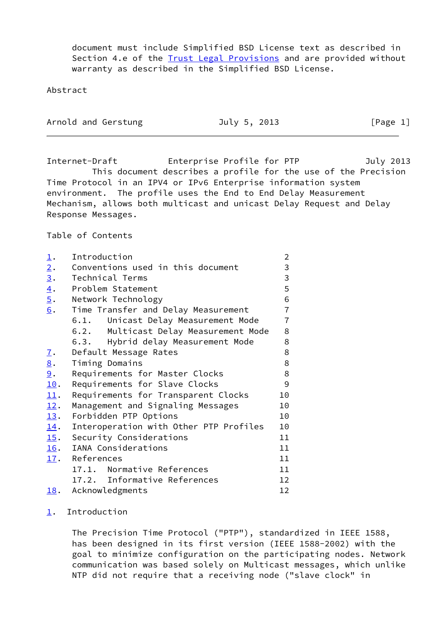document must include Simplified BSD License text as described in Section 4.e of the **Trust Legal Provisions** and are provided without warranty as described in the Simplified BSD License.

Abstract

| Arnold and Gerstung | July 5, 2013 | [Page 1] |
|---------------------|--------------|----------|
|---------------------|--------------|----------|

Internet-Draft Enterprise Profile for PTP July 2013 This document describes a profile for the use of the Precision Time Protocol in an IPV4 or IPv6 Enterprise information system environment. The profile uses the End to End Delay Measurement Mechanism, allows both multicast and unicast Delay Request and Delay Response Messages.

Table of Contents

<span id="page-1-9"></span><span id="page-1-8"></span><span id="page-1-7"></span><span id="page-1-6"></span><span id="page-1-5"></span><span id="page-1-4"></span><span id="page-1-3"></span><span id="page-1-2"></span><span id="page-1-1"></span><span id="page-1-0"></span>

| $\overline{\mathbf{1}}$ . | Introduction                             | $\overline{2}$  |
|---------------------------|------------------------------------------|-----------------|
| 2.                        | Conventions used in this document        | 3               |
| $\underline{3}$ .         | Technical Terms                          | 3               |
| $\underline{4}$ .         | Problem Statement                        | 5               |
| $\overline{5}$ .          | Network Technology                       | 6               |
| 6.                        | Time Transfer and Delay Measurement      | $\overline{7}$  |
|                           | 6.1. Unicast Delay Measurement Mode      | $\overline{7}$  |
|                           | 6.2.<br>Multicast Delay Measurement Mode | 8               |
|                           | 6.3. Hybrid delay Measurement Mode       | 8               |
| <u>7</u> .                | Default Message Rates                    | 8               |
| $\underline{8}$ .         | Timing Domains                           | 8               |
| 9.                        | Requirements for Master Clocks           | 8               |
| 10.                       | Requirements for Slave Clocks            | 9               |
| 11.                       | Requirements for Transparent Clocks      | 10              |
| 12.                       | Management and Signaling Messages        | 10              |
| 13.                       | Forbidden PTP Options                    | 10              |
| 14.                       | Interoperation with Other PTP Profiles   | 10              |
| 15.                       | Security Considerations                  | 11              |
| <u>16</u> .               | IANA Considerations                      | 11              |
| 17.                       | References                               | 11              |
|                           | 17.1. Normative References               | 11              |
|                           | 17.2. Informative References             | 12 <sup>2</sup> |
| <u>18</u> .               | Acknowledgments                          | 12              |

#### <span id="page-1-17"></span><span id="page-1-16"></span><span id="page-1-15"></span><span id="page-1-14"></span><span id="page-1-13"></span><span id="page-1-12"></span><span id="page-1-11"></span><span id="page-1-10"></span>[1](#page-1-0). Introduction

 The Precision Time Protocol ("PTP"), standardized in IEEE 1588, has been designed in its first version (IEEE 1588-2002) with the goal to minimize configuration on the participating nodes. Network communication was based solely on Multicast messages, which unlike NTP did not require that a receiving node ("slave clock" in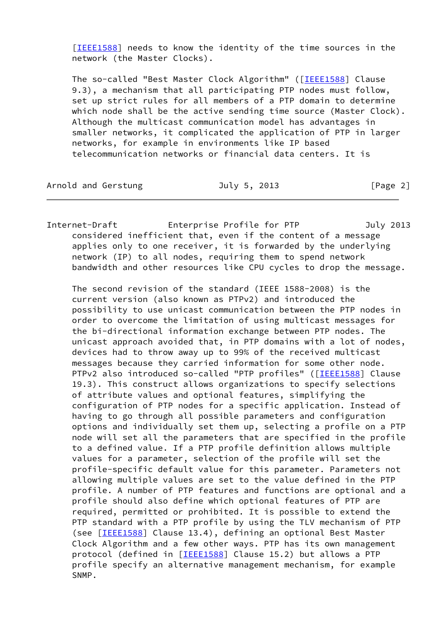[[IEEE1588\]](#page-12-0) needs to know the identity of the time sources in the network (the Master Clocks).

The so-called "Best Master Clock Algorithm" ([\[IEEE1588](#page-12-0)] Clause 9.3), a mechanism that all participating PTP nodes must follow, set up strict rules for all members of a PTP domain to determine which node shall be the active sending time source (Master Clock). Although the multicast communication model has advantages in smaller networks, it complicated the application of PTP in larger networks, for example in environments like IP based telecommunication networks or financial data centers. It is

Arnold and Gerstung **July 5, 2013** [Page 2]

Internet-Draft Enterprise Profile for PTP July 2013 considered inefficient that, even if the content of a message applies only to one receiver, it is forwarded by the underlying network (IP) to all nodes, requiring them to spend network bandwidth and other resources like CPU cycles to drop the message.

 The second revision of the standard (IEEE 1588-2008) is the current version (also known as PTPv2) and introduced the possibility to use unicast communication between the PTP nodes in order to overcome the limitation of using multicast messages for the bi-directional information exchange between PTP nodes. The unicast approach avoided that, in PTP domains with a lot of nodes, devices had to throw away up to 99% of the received multicast messages because they carried information for some other node. PTPv2 also introduced so-called "PTP profiles" ([[IEEE1588\]](#page-12-0) Clause 19.3). This construct allows organizations to specify selections of attribute values and optional features, simplifying the configuration of PTP nodes for a specific application. Instead of having to go through all possible parameters and configuration options and individually set them up, selecting a profile on a PTP node will set all the parameters that are specified in the profile to a defined value. If a PTP profile definition allows multiple values for a parameter, selection of the profile will set the profile-specific default value for this parameter. Parameters not allowing multiple values are set to the value defined in the PTP profile. A number of PTP features and functions are optional and a profile should also define which optional features of PTP are required, permitted or prohibited. It is possible to extend the PTP standard with a PTP profile by using the TLV mechanism of PTP (see [\[IEEE1588](#page-12-0)] Clause 13.4), defining an optional Best Master Clock Algorithm and a few other ways. PTP has its own management protocol (defined in [\[IEEE1588](#page-12-0)] Clause 15.2) but allows a PTP profile specify an alternative management mechanism, for example SNMP.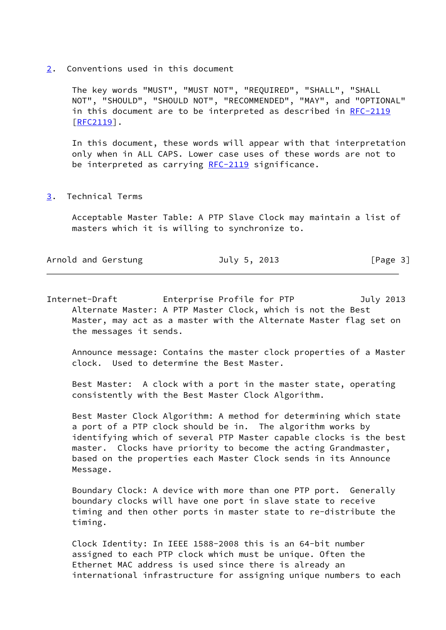[2](#page-1-1). Conventions used in this document

 The key words "MUST", "MUST NOT", "REQUIRED", "SHALL", "SHALL NOT", "SHOULD", "SHOULD NOT", "RECOMMENDED", "MAY", and "OPTIONAL" in this document are to be interpreted as described in [RFC-2119](https://datatracker.ietf.org/doc/pdf/rfc2119) [[RFC2119](https://datatracker.ietf.org/doc/pdf/rfc2119)].

 In this document, these words will appear with that interpretation only when in ALL CAPS. Lower case uses of these words are not to be interpreted as carrying  $RFC-2119$  significance.

[3](#page-1-2). Technical Terms

 Acceptable Master Table: A PTP Slave Clock may maintain a list of masters which it is willing to synchronize to.

| Arnold and Gerstung | July 5, 2013 | [Page 3] |
|---------------------|--------------|----------|
|---------------------|--------------|----------|

Internet-Draft Enterprise Profile for PTP July 2013 Alternate Master: A PTP Master Clock, which is not the Best Master, may act as a master with the Alternate Master flag set on the messages it sends.

 Announce message: Contains the master clock properties of a Master clock. Used to determine the Best Master.

 Best Master: A clock with a port in the master state, operating consistently with the Best Master Clock Algorithm.

 Best Master Clock Algorithm: A method for determining which state a port of a PTP clock should be in. The algorithm works by identifying which of several PTP Master capable clocks is the best master. Clocks have priority to become the acting Grandmaster, based on the properties each Master Clock sends in its Announce Message.

 Boundary Clock: A device with more than one PTP port. Generally boundary clocks will have one port in slave state to receive timing and then other ports in master state to re-distribute the timing.

 Clock Identity: In IEEE 1588-2008 this is an 64-bit number assigned to each PTP clock which must be unique. Often the Ethernet MAC address is used since there is already an international infrastructure for assigning unique numbers to each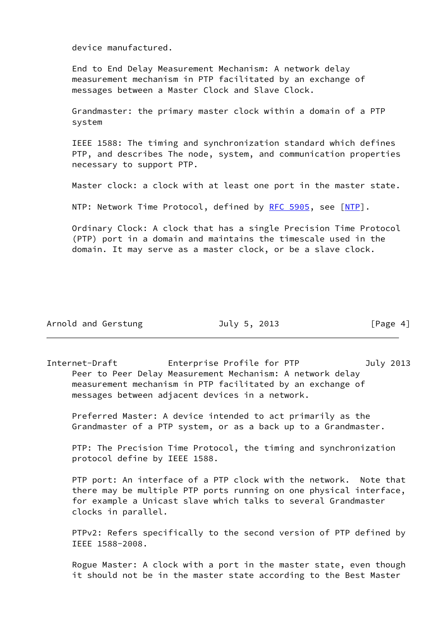device manufactured.

 End to End Delay Measurement Mechanism: A network delay measurement mechanism in PTP facilitated by an exchange of messages between a Master Clock and Slave Clock.

 Grandmaster: the primary master clock within a domain of a PTP system

 IEEE 1588: The timing and synchronization standard which defines PTP, and describes The node, system, and communication properties necessary to support PTP.

Master clock: a clock with at least one port in the master state.

NTP: Network Time Protocol, defined by [RFC 5905](https://datatracker.ietf.org/doc/pdf/rfc5905), see [\[NTP](#page-13-0)].

 Ordinary Clock: A clock that has a single Precision Time Protocol (PTP) port in a domain and maintains the timescale used in the domain. It may serve as a master clock, or be a slave clock.

|  |  | Arnold and Gerstung |
|--|--|---------------------|
|--|--|---------------------|

July 5, 2013 [Page 4]

Internet-Draft Enterprise Profile for PTP July 2013 Peer to Peer Delay Measurement Mechanism: A network delay measurement mechanism in PTP facilitated by an exchange of messages between adjacent devices in a network.

 Preferred Master: A device intended to act primarily as the Grandmaster of a PTP system, or as a back up to a Grandmaster.

 PTP: The Precision Time Protocol, the timing and synchronization protocol define by IEEE 1588.

 PTP port: An interface of a PTP clock with the network. Note that there may be multiple PTP ports running on one physical interface, for example a Unicast slave which talks to several Grandmaster clocks in parallel.

 PTPv2: Refers specifically to the second version of PTP defined by IEEE 1588-2008.

 Rogue Master: A clock with a port in the master state, even though it should not be in the master state according to the Best Master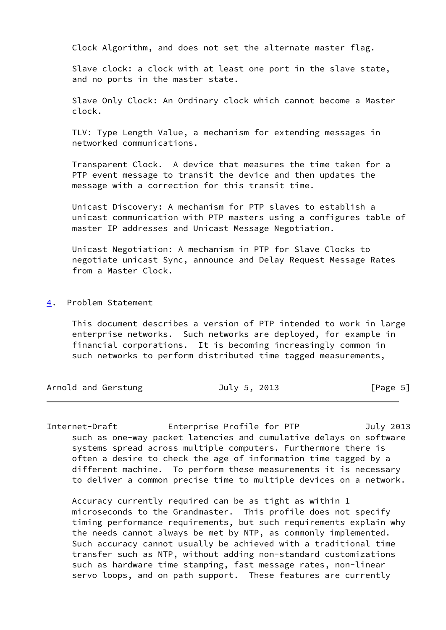Clock Algorithm, and does not set the alternate master flag.

 Slave clock: a clock with at least one port in the slave state, and no ports in the master state.

 Slave Only Clock: An Ordinary clock which cannot become a Master clock.

 TLV: Type Length Value, a mechanism for extending messages in networked communications.

 Transparent Clock. A device that measures the time taken for a PTP event message to transit the device and then updates the message with a correction for this transit time.

 Unicast Discovery: A mechanism for PTP slaves to establish a unicast communication with PTP masters using a configures table of master IP addresses and Unicast Message Negotiation.

 Unicast Negotiation: A mechanism in PTP for Slave Clocks to negotiate unicast Sync, announce and Delay Request Message Rates from a Master Clock.

[4](#page-1-3). Problem Statement

 This document describes a version of PTP intended to work in large enterprise networks. Such networks are deployed, for example in financial corporations. It is becoming increasingly common in such networks to perform distributed time tagged measurements,

Arnold and Gerstung July 5, 2013 [Page 5]

Internet-Draft Enterprise Profile for PTP July 2013 such as one-way packet latencies and cumulative delays on software systems spread across multiple computers. Furthermore there is often a desire to check the age of information time tagged by a different machine. To perform these measurements it is necessary to deliver a common precise time to multiple devices on a network.

 Accuracy currently required can be as tight as within 1 microseconds to the Grandmaster. This profile does not specify timing performance requirements, but such requirements explain why the needs cannot always be met by NTP, as commonly implemented. Such accuracy cannot usually be achieved with a traditional time transfer such as NTP, without adding non-standard customizations such as hardware time stamping, fast message rates, non-linear servo loops, and on path support. These features are currently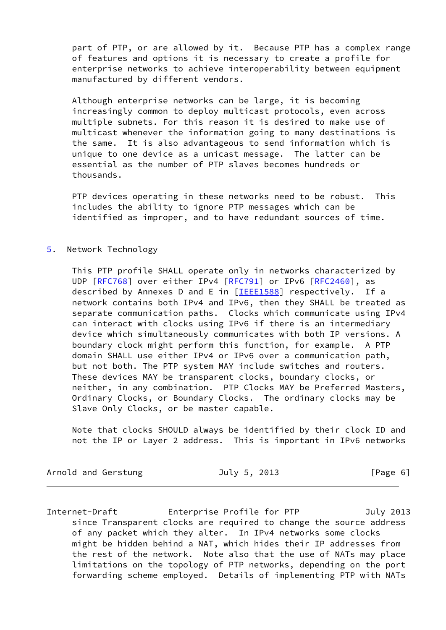part of PTP, or are allowed by it. Because PTP has a complex range of features and options it is necessary to create a profile for enterprise networks to achieve interoperability between equipment manufactured by different vendors.

 Although enterprise networks can be large, it is becoming increasingly common to deploy multicast protocols, even across multiple subnets. For this reason it is desired to make use of multicast whenever the information going to many destinations is the same. It is also advantageous to send information which is unique to one device as a unicast message. The latter can be essential as the number of PTP slaves becomes hundreds or thousands.

PTP devices operating in these networks need to be robust. This includes the ability to ignore PTP messages which can be identified as improper, and to have redundant sources of time.

## [5](#page-1-4). Network Technology

 This PTP profile SHALL operate only in networks characterized by UDP [[RFC768](https://datatracker.ietf.org/doc/pdf/rfc768)] over either IPv4 [\[RFC791](https://datatracker.ietf.org/doc/pdf/rfc791)] or IPv6 [\[RFC2460](https://datatracker.ietf.org/doc/pdf/rfc2460)], as described by Annexes D and E in [[IEEE1588\]](#page-12-0) respectively. If a network contains both IPv4 and IPv6, then they SHALL be treated as separate communication paths. Clocks which communicate using IPv4 can interact with clocks using IPv6 if there is an intermediary device which simultaneously communicates with both IP versions. A boundary clock might perform this function, for example. A PTP domain SHALL use either IPv4 or IPv6 over a communication path, but not both. The PTP system MAY include switches and routers. These devices MAY be transparent clocks, boundary clocks, or neither, in any combination. PTP Clocks MAY be Preferred Masters, Ordinary Clocks, or Boundary Clocks. The ordinary clocks may be Slave Only Clocks, or be master capable.

 Note that clocks SHOULD always be identified by their clock ID and not the IP or Layer 2 address. This is important in IPv6 networks

Arnold and Gerstung **July 5, 2013** [Page 6]

Internet-Draft Enterprise Profile for PTP July 2013 since Transparent clocks are required to change the source address of any packet which they alter. In IPv4 networks some clocks might be hidden behind a NAT, which hides their IP addresses from the rest of the network. Note also that the use of NATs may place limitations on the topology of PTP networks, depending on the port forwarding scheme employed. Details of implementing PTP with NATs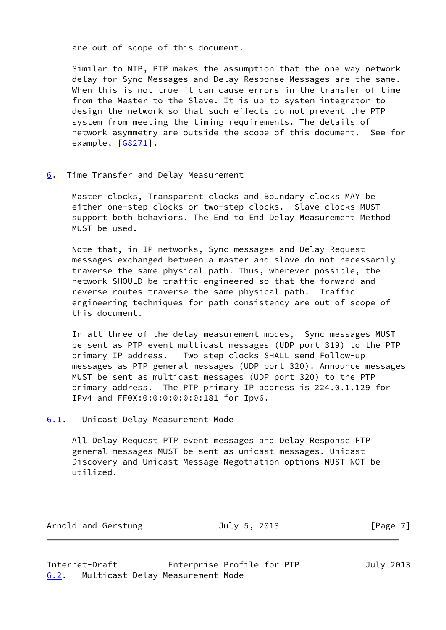are out of scope of this document.

 Similar to NTP, PTP makes the assumption that the one way network delay for Sync Messages and Delay Response Messages are the same. When this is not true it can cause errors in the transfer of time from the Master to the Slave. It is up to system integrator to design the network so that such effects do not prevent the PTP system from meeting the timing requirements. The details of network asymmetry are outside the scope of this document. See for example, [[G8271\]](#page-12-1).

[6](#page-1-5). Time Transfer and Delay Measurement

 Master clocks, Transparent clocks and Boundary clocks MAY be either one-step clocks or two-step clocks. Slave clocks MUST support both behaviors. The End to End Delay Measurement Method MUST be used.

 Note that, in IP networks, Sync messages and Delay Request messages exchanged between a master and slave do not necessarily traverse the same physical path. Thus, wherever possible, the network SHOULD be traffic engineered so that the forward and reverse routes traverse the same physical path. Traffic engineering techniques for path consistency are out of scope of this document.

 In all three of the delay measurement modes, Sync messages MUST be sent as PTP event multicast messages (UDP port 319) to the PTP primary IP address. Two step clocks SHALL send Follow-up messages as PTP general messages (UDP port 320). Announce messages MUST be sent as multicast messages (UDP port 320) to the PTP primary address. The PTP primary IP address is 224.0.1.129 for IPv4 and FF0X:0:0:0:0:0:0:181 for Ipv6.

<span id="page-7-0"></span>[6.1](#page-7-0). Unicast Delay Measurement Mode

 All Delay Request PTP event messages and Delay Response PTP general messages MUST be sent as unicast messages. Unicast Discovery and Unicast Message Negotiation options MUST NOT be utilized.

Arnold and Gerstung **July 5, 2013** [Page 7]

<span id="page-7-1"></span>Internet-Draft Enterprise Profile for PTP July 2013 [6.2](#page-7-1). Multicast Delay Measurement Mode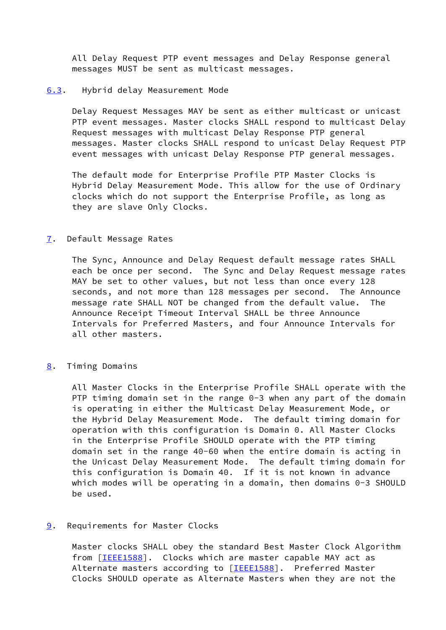All Delay Request PTP event messages and Delay Response general messages MUST be sent as multicast messages.

#### <span id="page-8-0"></span>[6.3](#page-8-0). Hybrid delay Measurement Mode

 Delay Request Messages MAY be sent as either multicast or unicast PTP event messages. Master clocks SHALL respond to multicast Delay Request messages with multicast Delay Response PTP general messages. Master clocks SHALL respond to unicast Delay Request PTP event messages with unicast Delay Response PTP general messages.

 The default mode for Enterprise Profile PTP Master Clocks is Hybrid Delay Measurement Mode. This allow for the use of Ordinary clocks which do not support the Enterprise Profile, as long as they are slave Only Clocks.

## [7](#page-1-6). Default Message Rates

 The Sync, Announce and Delay Request default message rates SHALL each be once per second. The Sync and Delay Request message rates MAY be set to other values, but not less than once every 128 seconds, and not more than 128 messages per second. The Announce message rate SHALL NOT be changed from the default value. The Announce Receipt Timeout Interval SHALL be three Announce Intervals for Preferred Masters, and four Announce Intervals for all other masters.

# [8](#page-1-7). Timing Domains

 All Master Clocks in the Enterprise Profile SHALL operate with the PTP timing domain set in the range 0-3 when any part of the domain is operating in either the Multicast Delay Measurement Mode, or the Hybrid Delay Measurement Mode. The default timing domain for operation with this configuration is Domain 0. All Master Clocks in the Enterprise Profile SHOULD operate with the PTP timing domain set in the range 40-60 when the entire domain is acting in the Unicast Delay Measurement Mode. The default timing domain for this configuration is Domain 40. If it is not known in advance which modes will be operating in a domain, then domains 0-3 SHOULD be used.

# [9](#page-1-8). Requirements for Master Clocks

 Master clocks SHALL obey the standard Best Master Clock Algorithm from [\[IEEE1588](#page-12-0)]. Clocks which are master capable MAY act as Alternate masters according to [\[IEEE1588](#page-12-0)]. Preferred Master Clocks SHOULD operate as Alternate Masters when they are not the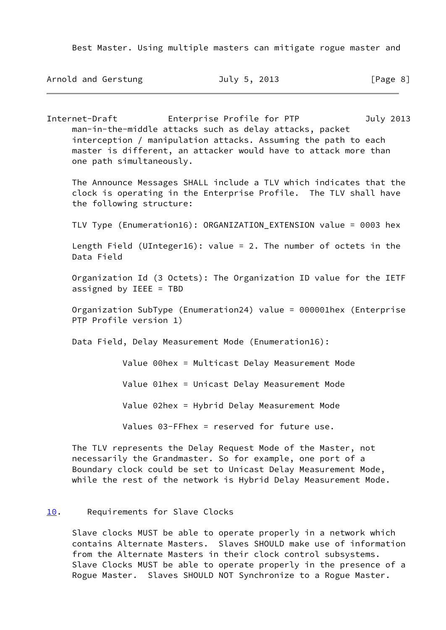Best Master. Using multiple masters can mitigate rogue master and

Arnold and Gerstung **July 5, 2013** [Page 8]

Internet-Draft Enterprise Profile for PTP July 2013 man-in-the-middle attacks such as delay attacks, packet interception / manipulation attacks. Assuming the path to each master is different, an attacker would have to attack more than one path simultaneously.

 The Announce Messages SHALL include a TLV which indicates that the clock is operating in the Enterprise Profile. The TLV shall have the following structure:

TLV Type (Enumeration16): ORGANIZATION\_EXTENSION value = 0003 hex

 Length Field (UInteger16): value = 2. The number of octets in the Data Field

 Organization Id (3 Octets): The Organization ID value for the IETF assigned by IEEE = TBD

 Organization SubType (Enumeration24) value = 000001hex (Enterprise PTP Profile version 1)

Data Field, Delay Measurement Mode (Enumeration16):

Value 00hex = Multicast Delay Measurement Mode

Value 01hex = Unicast Delay Measurement Mode

Value 02hex = Hybrid Delay Measurement Mode

Values 03-FFhex = reserved for future use.

 The TLV represents the Delay Request Mode of the Master, not necessarily the Grandmaster. So for example, one port of a Boundary clock could be set to Unicast Delay Measurement Mode, while the rest of the network is Hybrid Delay Measurement Mode.

#### [10.](#page-1-9) Requirements for Slave Clocks

 Slave clocks MUST be able to operate properly in a network which contains Alternate Masters. Slaves SHOULD make use of information from the Alternate Masters in their clock control subsystems. Slave Clocks MUST be able to operate properly in the presence of a Rogue Master. Slaves SHOULD NOT Synchronize to a Rogue Master.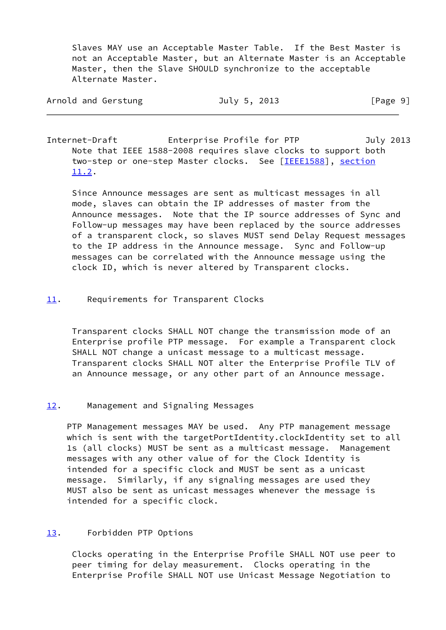Slaves MAY use an Acceptable Master Table. If the Best Master is not an Acceptable Master, but an Alternate Master is an Acceptable Master, then the Slave SHOULD synchronize to the acceptable Alternate Master.

| Arnold and Gerstung | July 5, 2013 | [Page 9] |
|---------------------|--------------|----------|
|                     |              |          |

Internet-Draft Enterprise Profile for PTP July 2013 Note that IEEE 1588-2008 requires slave clocks to support both two-step or one-step Master clocks. See [[IEEE1588\]](#page-12-0), section 11.2.

 Since Announce messages are sent as multicast messages in all mode, slaves can obtain the IP addresses of master from the Announce messages. Note that the IP source addresses of Sync and Follow-up messages may have been replaced by the source addresses of a transparent clock, so slaves MUST send Delay Request messages to the IP address in the Announce message. Sync and Follow-up messages can be correlated with the Announce message using the clock ID, which is never altered by Transparent clocks.

# [11.](#page-1-10) Requirements for Transparent Clocks

 Transparent clocks SHALL NOT change the transmission mode of an Enterprise profile PTP message. For example a Transparent clock SHALL NOT change a unicast message to a multicast message. Transparent clocks SHALL NOT alter the Enterprise Profile TLV of an Announce message, or any other part of an Announce message.

# [12.](#page-1-11) Management and Signaling Messages

 PTP Management messages MAY be used. Any PTP management message which is sent with the targetPortIdentity.clockIdentity set to all 1s (all clocks) MUST be sent as a multicast message. Management messages with any other value of for the Clock Identity is intended for a specific clock and MUST be sent as a unicast message. Similarly, if any signaling messages are used they MUST also be sent as unicast messages whenever the message is intended for a specific clock.

# [13.](#page-1-12) Forbidden PTP Options

 Clocks operating in the Enterprise Profile SHALL NOT use peer to peer timing for delay measurement. Clocks operating in the Enterprise Profile SHALL NOT use Unicast Message Negotiation to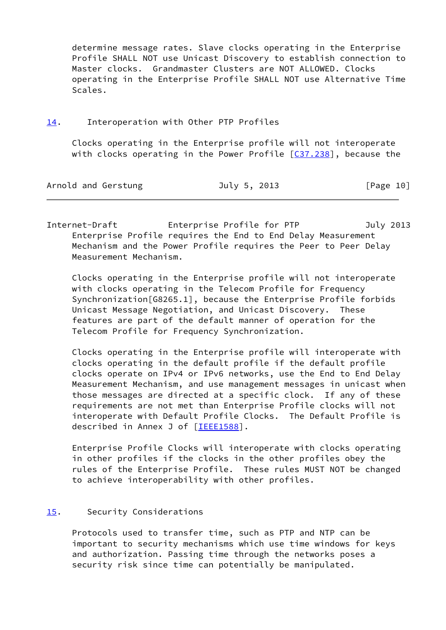determine message rates. Slave clocks operating in the Enterprise Profile SHALL NOT use Unicast Discovery to establish connection to Master clocks. Grandmaster Clusters are NOT ALLOWED. Clocks operating in the Enterprise Profile SHALL NOT use Alternative Time Scales.

[14.](#page-1-13) Interoperation with Other PTP Profiles

 Clocks operating in the Enterprise profile will not interoperate with clocks operating in the Power Profile  $[$   $C37.238]$ , because the

| Arnold and Gerstung | July 5, 2013 | [Page 10] |
|---------------------|--------------|-----------|
|                     |              |           |

Internet-Draft Enterprise Profile for PTP July 2013 Enterprise Profile requires the End to End Delay Measurement Mechanism and the Power Profile requires the Peer to Peer Delay Measurement Mechanism.

 Clocks operating in the Enterprise profile will not interoperate with clocks operating in the Telecom Profile for Frequency Synchronization[G8265.1], because the Enterprise Profile forbids Unicast Message Negotiation, and Unicast Discovery. These features are part of the default manner of operation for the Telecom Profile for Frequency Synchronization.

 Clocks operating in the Enterprise profile will interoperate with clocks operating in the default profile if the default profile clocks operate on IPv4 or IPv6 networks, use the End to End Delay Measurement Mechanism, and use management messages in unicast when those messages are directed at a specific clock. If any of these requirements are not met than Enterprise Profile clocks will not interoperate with Default Profile Clocks. The Default Profile is described in Annex J of [[IEEE1588\]](#page-12-0).

 Enterprise Profile Clocks will interoperate with clocks operating in other profiles if the clocks in the other profiles obey the rules of the Enterprise Profile. These rules MUST NOT be changed to achieve interoperability with other profiles.

# [15.](#page-1-14) Security Considerations

 Protocols used to transfer time, such as PTP and NTP can be important to security mechanisms which use time windows for keys and authorization. Passing time through the networks poses a security risk since time can potentially be manipulated.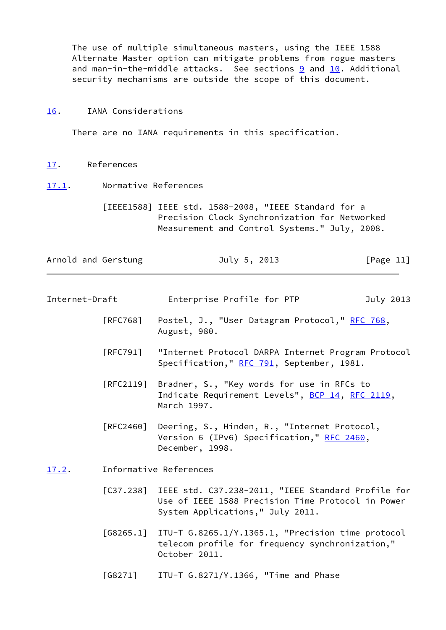The use of multiple simultaneous masters, using the IEEE 1588 Alternate Master option can mitigate problems from rogue masters and man-in-the-middle attacks. See sections [9](#page-1-8) and [10.](#page-1-9) Additional security mechanisms are outside the scope of this document.

#### [16.](#page-1-15) IANA Considerations

There are no IANA requirements in this specification.

- [17.](#page-1-16) References
- <span id="page-12-3"></span>[17.1](#page-12-3). Normative References

<span id="page-12-0"></span> [IEEE1588] IEEE std. 1588-2008, "IEEE Standard for a Precision Clock Synchronization for Networked Measurement and Control Systems." July, 2008.

| Arnold and Gerstung | July 5, 2013 | [Page 11] |  |
|---------------------|--------------|-----------|--|
|                     |              |           |  |

| Internet-Draft | Enterprise Profile for PTP | July 2013 |
|----------------|----------------------------|-----------|
|----------------|----------------------------|-----------|

- [RFC768] Postel, J., "User Datagram Protocol," [RFC 768](https://datatracker.ietf.org/doc/pdf/rfc768), August, 980.
- [RFC791] "Internet Protocol DARPA Internet Program Protocol Specification," [RFC 791](https://datatracker.ietf.org/doc/pdf/rfc791), September, 1981.
- [RFC2119] Bradner, S., "Key words for use in RFCs to Indicate Requirement Levels", [BCP 14](https://datatracker.ietf.org/doc/pdf/bcp14), [RFC 2119](https://datatracker.ietf.org/doc/pdf/rfc2119), March 1997.
- <span id="page-12-2"></span>[RFC2460] Deering, S., Hinden, R., "Internet Protocol, Version 6 (IPv6) Specification," [RFC 2460,](https://datatracker.ietf.org/doc/pdf/rfc2460) December, 1998.
- <span id="page-12-4"></span><span id="page-12-1"></span>[17.2](#page-12-4). Informative References
	- [C37.238] IEEE std. C37.238-2011, "IEEE Standard Profile for Use of IEEE 1588 Precision Time Protocol in Power System Applications," July 2011.
	- [G8265.1] ITU-T G.8265.1/Y.1365.1, "Precision time protocol telecom profile for frequency synchronization," October 2011.
	- [G8271] ITU-T G.8271/Y.1366, "Time and Phase